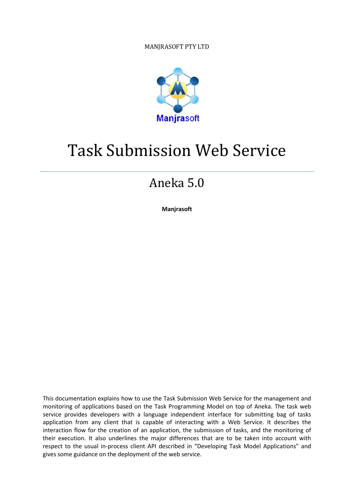MANJRASOFT PTY LTD



# Task Submission Web Service

## Aneka 5.0

**Manjrasoft**

This documentation explains how to use the Task Submission Web Service for the management and monitoring of applications based on the Task Programming Model on top of Aneka. The task web service provides developers with a language independent interface for submitting bag of tasks application from any client that is capable of interacting with a Web Service. It describes the interaction flow for the creation of an application, the submission of tasks, and the monitoring of their execution. It also underlines the major differences that are to be taken into account with respect to the usual in-process client API described in "Developing Task Model Applications" and gives some guidance on the deployment of the web service.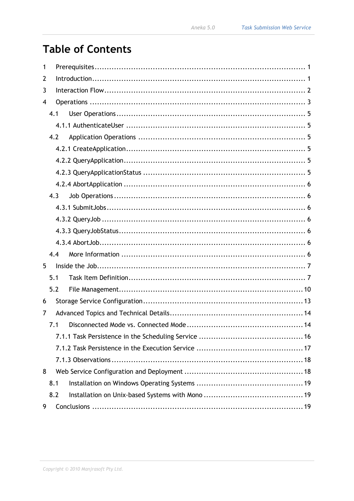## **Table of Contents**

| 1 |     |     |  |  |
|---|-----|-----|--|--|
| 2 |     |     |  |  |
| 3 |     |     |  |  |
| 4 |     |     |  |  |
|   | 4.1 |     |  |  |
|   |     |     |  |  |
|   | 4.2 |     |  |  |
|   |     |     |  |  |
|   |     |     |  |  |
|   |     |     |  |  |
|   |     |     |  |  |
|   |     | 4.3 |  |  |
|   |     |     |  |  |
|   |     |     |  |  |
|   |     |     |  |  |
|   |     |     |  |  |
|   |     | 4.4 |  |  |
| 5 |     |     |  |  |
|   | 5.1 |     |  |  |
|   |     | 5.2 |  |  |
| 6 |     |     |  |  |
| 7 |     |     |  |  |
|   | 7.1 |     |  |  |
|   |     |     |  |  |
|   |     |     |  |  |
|   |     |     |  |  |
| 8 |     |     |  |  |
|   | 8.1 |     |  |  |
|   |     | 8.2 |  |  |
| 9 |     |     |  |  |
|   |     |     |  |  |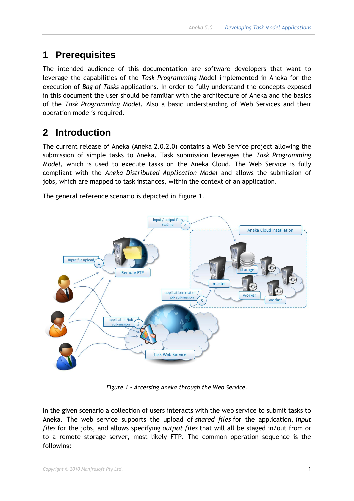## <span id="page-2-0"></span>**1 Prerequisites**

The intended audience of this documentation are software developers that want to leverage the capabilities of the *Task Programming* Model implemented in Aneka for the execution of *Bag of Tasks* applications. In order to fully understand the concepts exposed in this document the user should be familiar with the architecture of Aneka and the basics of the *Task Programming Model.* Also a basic understanding of Web Services and their operation mode is required.

## <span id="page-2-1"></span>**2 Introduction**

The current release of Aneka (Aneka 2.0.2.0) contains a Web Service project allowing the submission of simple tasks to Aneka. Task submission leverages the *Task Programming Model*, which is used to execute tasks on the Aneka Cloud. The Web Service is fully compliant with the *Aneka Distributed Application Model* and allows the submission of jobs, which are mapped to task instances, within the context of an application.

The general reference scenario is depicted in Figure 1.



*Figure 1 - Accessing Aneka through the Web Service.*

In the given scenario a collection of users interacts with the web service to submit tasks to Aneka. The web service supports the upload of *shared files* for the application, *input files* for the jobs, and allows specifying *output files* that will all be staged in/out from or to a remote storage server, most likely FTP. The common operation sequence is the following: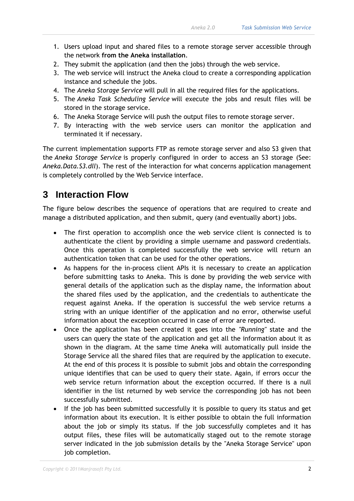- 1. Users upload input and shared files to a remote storage server accessible through the network **from the Aneka installation**.
- 2. They submit the application (and then the jobs) through the web service.
- 3. The web service will instruct the Aneka cloud to create a corresponding application instance and schedule the jobs.
- 4. The *Aneka Storage Service* will pull in all the required files for the applications.
- 5. The *Aneka Task Scheduling Service* will execute the jobs and result files will be stored in the storage service.
- 6. The Aneka Storage Service will push the output files to remote storage server.
- 7. By interacting with the web service users can monitor the application and terminated it if necessary.

The current implementation supports FTP as remote storage server and also S3 given that the *Aneka Storage Service* is properly configured in order to access an S3 storage (See: *Aneka.Data.S3.dll*). The rest of the interaction for what concerns application management is completely controlled by the Web Service interface.

## <span id="page-3-0"></span>**3 Interaction Flow**

The figure below describes the sequence of operations that are required to create and manage a distributed application, and then submit, query (and eventually abort) jobs.

- The first operation to accomplish once the web service client is connected is to authenticate the client by providing a simple username and password credentials. Once this operation is completed successfully the web service will return an authentication token that can be used for the other operations.
- As happens for the in-process client APIs it is necessary to create an application before submitting tasks to Aneka. This is done by providing the web service with general details of the application such as the display name, the information about the shared files used by the application, and the credentials to authenticate the request against Aneka. If the operation is successful the web service returns a string with an unique identifier of the application and no error, otherwise useful information about the exception occurred in case of error are reported.
- Once the application has been created it goes into the *''Running''* state and the users can query the state of the application and get all the information about it as shown in the diagram. At the same time Aneka will automatically pull inside the Storage Service all the shared files that are required by the application to execute. At the end of this process it is possible to submit jobs and obtain the corresponding unique identifies that can be used to query their state. Again, if errors occur the web service return information about the exception occurred. If there is a null identifier in the list returned by web service the corresponding job has not been successfully submitted.
- If the job has been submitted successfully it is possible to query its status and get information about its execution. It is either possible to obtain the full information about the job or simply its status. If the job successfully completes and it has output files, these files will be automatically staged out to the remote storage server indicated in the job submission details by the ''Aneka Storage Service'' upon job completion.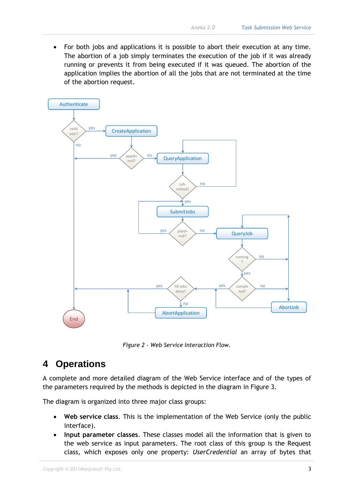For both jobs and applications it is possible to abort their execution at any time. The abortion of a job simply terminates the execution of the job if it was already running or prevents it from being executed if it was queued. The abortion of the application implies the abortion of all the jobs that are not terminated at the time of the abortion request.



*Figure 2 - Web Service Interaction Flow.*

### <span id="page-4-0"></span>**4 Operations**

A complete and more detailed diagram of the Web Service interface and of the types of the parameters required by the methods is depicted in the diagram in Figure 3.

The diagram is organized into three major class groups:

- **Web service class**. This is the implementation of the Web Service (only the public interface).
- **Input parameter classes**. These classes model all the information that is given to the web service as input parameters. The root class of this group is the Request class, which exposes only one property: *UserCredential* an array of bytes that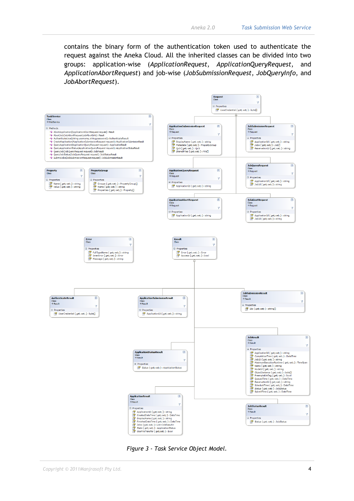contains the binary form of the authentication token used to authenticate the request against the Aneka Cloud. All the inherited classes can be divided into two groups: application-wise (*ApplicationRequest*, *ApplicationQueryRequest*, and *ApplicationAbortRequest*) and job-wise (*JobSubmissionRequest*, *JobQueryInfo*, and *JobAbortRequest*).



*Figure 3 - Task Service Object Model.*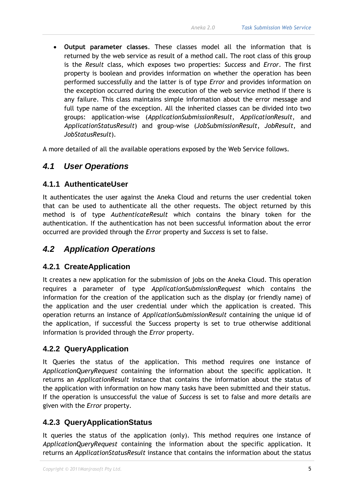• **Output parameter classes**. These classes model all the information that is returned by the web service as result of a method call. The root class of this group is the *Result* class, which exposes two properties: *Success* and *Error*. The first property is boolean and provides information on whether the operation has been performed successfully and the latter is of type *Error* and provides information on the exception occurred during the execution of the web service method if there is any failure. This class maintains simple information about the error message and full type name of the exception. All the inherited classes can be divided into two groups: application-wise (*ApplicationSubmissionResult*, *ApplicationResult*, and *ApplicationStatusResult*) and group-wise (*JobSubmissionResult*, *JobResult*, and *JobStatusResult*).

A more detailed of all the available operations exposed by the Web Service follows.

#### <span id="page-6-0"></span>*4.1 User Operations*

#### <span id="page-6-1"></span>**4.1.1 AuthenticateUser**

It authenticates the user against the Aneka Cloud and returns the user credential token that can be used to authenticate all the other requests. The object returned by this method is of type *AuthenticateResult* which contains the binary token for the authentication. If the authentication has not been successful information about the error occurred are provided through the *Error* property and *Success* is set to false.

#### <span id="page-6-2"></span>*4.2 Application Operations*

#### <span id="page-6-3"></span>**4.2.1 CreateApplication**

It creates a new application for the submission of jobs on the Aneka Cloud. This operation requires a parameter of type *ApplicationSubmissionRequest* which contains the information for the creation of the application such as the display (or friendly name) of the application and the user credential under which the application is created. This operation returns an instance of *ApplicationSubmissionResult* containing the unique id of the application, if successful the Success property is set to true otherwise additional information is provided through the *Error* property.

#### <span id="page-6-4"></span>**4.2.2 QueryApplication**

It Queries the status of the application. This method requires one instance of *ApplicationQueryRequest* containing the information about the specific application. It returns an *ApplicationResult* instance that contains the information about the status of the application with information on how many tasks have been submitted and their status. If the operation is unsuccessful the value of *Success* is set to false and more details are given with the *Error* property.

#### <span id="page-6-5"></span>**4.2.3 QueryApplicationStatus**

It queries the status of the application (only). This method requires one instance of *ApplicationQueryRequest* containing the information about the specific application. It returns an *ApplicationStatusResult* instance that contains the information about the status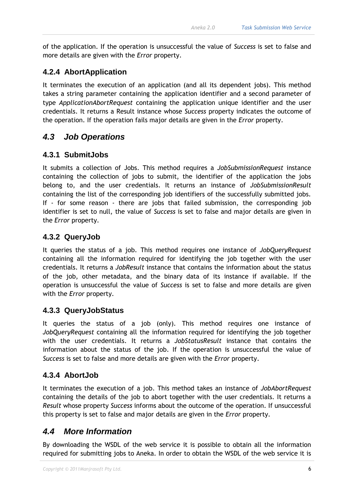of the application. If the operation is unsuccessful the value of *Success* is set to false and more details are given with the *Error* property.

#### <span id="page-7-0"></span>**4.2.4 AbortApplication**

It terminates the execution of an application (and all its dependent jobs). This method takes a string parameter containing the application identifier and a second parameter of type *ApplicationAbortRequest* containing the application unique identifier and the user credentials. It returns a Result instance whose *Success* property indicates the outcome of the operation. If the operation fails major details are given in the *Error* property.

#### <span id="page-7-1"></span>*4.3 Job Operations*

#### <span id="page-7-2"></span>**4.3.1 SubmitJobs**

It submits a collection of Jobs. This method requires a *JobSubmissionRequest* instance containing the collection of jobs to submit, the identifier of the application the jobs belong to, and the user credentials. It returns an instance of *JobSubmissionResult* containing the list of the corresponding job identifiers of the successfully submitted jobs. If - for some reason - there are jobs that failed submission, the corresponding job identifier is set to null, the value of *Success* is set to false and major details are given in the *Error* property.

#### <span id="page-7-3"></span>**4.3.2 QueryJob**

It queries the status of a job. This method requires one instance of *JobQueryRequest* containing all the information required for identifying the job together with the user credentials. It returns a *JobResult* instance that contains the information about the status of the job, other metadata, and the binary data of its instance if available. If the operation is unsuccessful the value of *Success* is set to false and more details are given with the *Error* property.

#### <span id="page-7-4"></span>**4.3.3 QueryJobStatus**

It queries the status of a job (only). This method requires one instance of *JobQueryRequest* containing all the information required for identifying the job together with the user credentials. It returns a *JobStatusResult* instance that contains the information about the status of the job. If the operation is unsuccessful the value of *Success* is set to false and more details are given with the *Error* property.

#### <span id="page-7-5"></span>**4.3.4 AbortJob**

It terminates the execution of a job. This method takes an instance of *JobAbortRequest* containing the details of the job to abort together with the user credentials. It returns a *Result* whose property *Success* informs about the outcome of the operation. If unsuccessful this property is set to false and major details are given in the *Error* property.

#### <span id="page-7-6"></span>*4.4 More Information*

By downloading the WSDL of the web service it is possible to obtain all the information required for submitting jobs to Aneka. In order to obtain the WSDL of the web service it is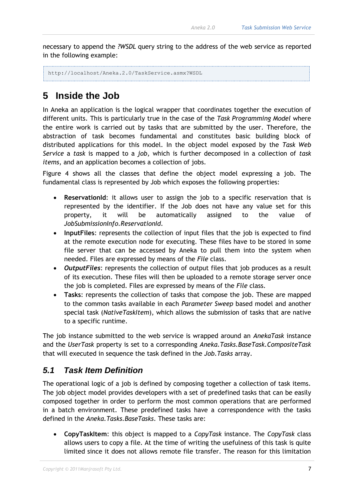necessary to append the *?WSDL* query string to the address of the web service as reported in the following example:

```
http://localhost/Aneka.2.0/TaskService.asmx?WSDL
```
## <span id="page-8-0"></span>**5 Inside the Job**

In Aneka an application is the logical wrapper that coordinates together the execution of different units. This is particularly true in the case of the *Task Programming Model* where the entire work is carried out by tasks that are submitted by the user. Therefore, the abstraction of task becomes fundamental and constitutes basic building block of distributed applications for this model. In the object model exposed by the *Task Web Service* a *task* is mapped to a *job*, which is further decomposed in a collection of *task items*, and an application becomes a collection of jobs.

Figure 4 shows all the classes that define the object model expressing a job. The fundamental class is represented by Job which exposes the following properties:

- **ReservationId**: it allows user to assign the job to a specific reservation that is represented by the identifier. If the Job does not have any value set for this property, it will be automatically assigned to the value of *JobSubmissionInfo.ReservationId*.
- **InputFiles**: represents the collection of input files that the job is expected to find at the remote execution node for executing. These files have to be stored in some file server that can be accessed by Aneka to pull them into the system when needed. Files are expressed by means of the *File* class.
- *OutputFiles*: represents the collection of output files that job produces as a result of its execution. These files will then be uploaded to a remote storage server once the job is completed. Files are expressed by means of the *File* class.
- **Tasks**: represents the collection of tasks that compose the job. These are mapped to the common tasks available in each *Parameter Sweep* based model and another special task (*NativeTaskItem*), which allows the submission of tasks that are native to a specific runtime.

The job instance submitted to the web service is wrapped around an *AnekaTask* instance and the *UserTask* property is set to a corresponding *Aneka.Tasks.BaseTask.CompositeTask* that will executed in sequence the task defined in the *Job.Tasks* array.

#### <span id="page-8-1"></span>*5.1 Task Item Definition*

The operational logic of a job is defined by composing together a collection of task items. The job object model provides developers with a set of predefined tasks that can be easily composed together in order to perform the most common operations that are performed in a batch environment. These predefined tasks have a correspondence with the tasks defined in the *Aneka.Tasks.BaseTasks*. These tasks are:

• **CopyTaskItem**: this object is mapped to a *CopyTask* instance. The *CopyTask* class allows users to copy a file. At the time of writing the usefulness of this task is quite limited since it does not allows remote file transfer. The reason for this limitation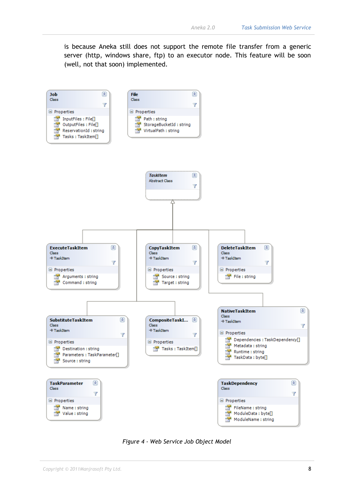is because Aneka still does not support the remote file transfer from a generic server (http, windows share, ftp) to an executor node. This feature will be soon (well, not that soon) implemented.



*Figure 4 - Web Service Job Object Model*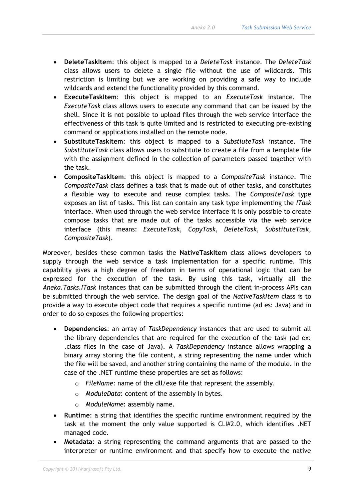- **DeleteTaskItem**: this object is mapped to a *DeleteTask* instance. The *DeleteTask* class allows users to delete a single file without the use of wildcards. This restriction is limiting but we are working on providing a safe way to include wildcards and extend the functionality provided by this command.
- **ExecuteTaskItem**: this object is mapped to an *ExecuteTask* instance. The *ExecuteTask* class allows users to execute any command that can be issued by the shell. Since it is not possible to upload files through the web service interface the effectiveness of this task is quite limited and is restricted to executing pre-existing command or applications installed on the remote node.
- **SubstituteTaskItem**: this object is mapped to a *SubstiuteTask* instance. The *SubstituteTask* class allows users to substitute to create a file from a template file with the assignment defined in the collection of parameters passed together with the task.
- **CompositeTaskItem**: this object is mapped to a *CompositeTask* instance. The *CompositeTask* class defines a task that is made out of other tasks, and constitutes a flexible way to execute and reuse complex tasks. The *CompositeTask* type exposes an list of tasks. This list can contain any task type implementing the *ITask* interface. When used through the web service interface it is only possible to create compose tasks that are made out of the tasks accessible via the web service interface (this means: *ExecuteTask*, *CopyTask*, *DeleteTask*, *SubstituteTask*, *CompositeTask*).

Moreover, besides these common tasks the **NativeTaskItem** class allows developers to supply through the web service a task implementation for a specific runtime. This capability gives a high degree of freedom in terms of operational logic that can be expressed for the execution of the task. By using this task, virtually all the *Aneka.Tasks.ITask* instances that can be submitted through the client in-process APIs can be submitted through the web service. The design goal of the *NativeTaskItem* class is to provide a way to execute object code that requires a specific runtime (ad es: Java) and in order to do so exposes the following properties:

- **Dependencies**: an array of *TaskDependency* instances that are used to submit all the library dependencies that are required for the execution of the task (ad ex: .class files in the case of Java). A *TaskDependency* instance allows wrapping a binary array storing the file content, a string representing the name under which the file will be saved, and another string containing the name of the module. In the case of the .NET runtime these properties are set as follows:
	- o *FileName*: name of the dll/exe file that represent the assembly.
	- o *ModuleData*: content of the assembly in bytes.
	- o *ModuleName*: assembly name.
- **Runtime**: a string that identifies the specific runtime environment required by the task at the moment the only value supported is CLI#2.0, which identifies .NET managed code.
- **Metadata**: a string representing the command arguments that are passed to the interpreter or runtime environment and that specify how to execute the native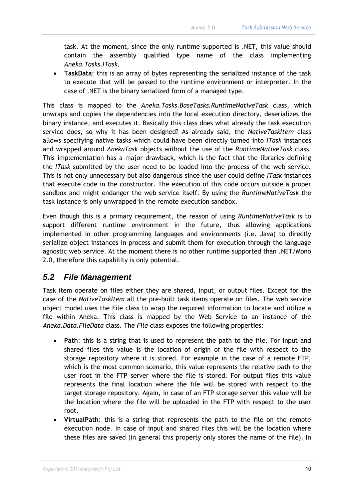task. At the moment, since the only runtime supported is .NET, this value should contain the assembly qualified type name of the class implementing *Aneka.Tasks.ITask*.

• **TaskData**: this is an array of bytes representing the serialized instance of the task to execute that will be passed to the runtime environment or interpreter. In the case of .NET is the binary serialized form of a managed type.

This class is mapped to the *Aneka.Tasks.BaseTasks.RuntimeNativeTask* class, which unwraps and copies the dependencies into the local execution directory, deserializes the binary instance, and executes it. Basically this class does what already the task execution service does, so why it has been designed? As already said, the *NativeTaskItem* class allows specifying native tasks which could have been directly turned into *ITask* instances and wrapped around *AnekaTask* objects without the use of the *RuntimeNativeTask* class. This implementation has a major drawback, which is the fact that the libraries defining the *ITask* submitted by the user need to be loaded into the process of the web service. This is not only unnecessary but also dangerous since the user could define *ITask* instances that execute code in the constructor. The execution of this code occurs outside a proper sandbox and might endanger the web service itself. By using the *RuntimeNativeTask* the task instance is only unwrapped in the remote execution sandbox.

Even though this is a primary requirement, the reason of using *RuntimeNativeTask* is to support different runtime environment in the future, thus allowing applications implemented in other programming languages and environments (i.e. Java) to directly serialize object instances in process and submit them for execution through the language agnostic web service. At the moment there is no other runtime supported than .NET/Mono 2.0, therefore this capability is only potential.

#### <span id="page-11-0"></span>*5.2 File Management*

Task item operate on files either they are shared, input, or output files. Except for the case of the *NativeTaskItem* all the pre-built task items operate on files. The web service object model uses the File class to wrap the required information to locate and utilize a file within Aneka. This class is mapped by the Web Service to an instance of the *Aneka.Data.FileData* class. The *File* class exposes the following properties:

- **Path**: this is a string that is used to represent the path to the file. For input and shared files this value is the location of origin of the file with respect to the storage repository where it is stored. For example in the case of a remote FTP, which is the most common scenario, this value represents the relative path to the user root in the FTP server where the file is stored. For output files this value represents the final location where the file will be stored with respect to the target storage repository. Again, in case of an FTP storage server this value will be the location where the file will be uploaded in the FTP with respect to the user root.
- **VirtualPath**: this is a string that represents the path to the file on the remote execution node. In case of input and shared files this will be the location where these files are saved (in general this property only stores the name of the file). In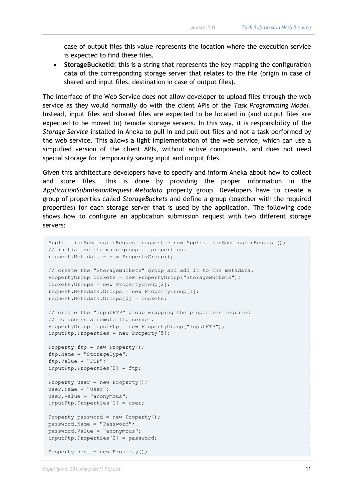case of output files this value represents the location where the execution service is expected to find these files.

• **StorageBucketId**: this is a string that represents the key mapping the configuration data of the corresponding storage server that relates to the file (origin in case of shared and input files, destination in case of output files).

The interface of the Web Service does not allow developer to upload files through the web service as they would normally do with the client APIs of the *Task Programming Model*. Instead, input files and shared files are expected to be located in (and output files are expected to be moved to) remote storage servers. In this way, it is responsibility of the *Storage Service* installed in Aneka to pull in and pull out files and not a task performed by the web service. This allows a light implementation of the web service, which can use a simplified version of the client APIs, without active components, and does not need special storage for temporarily saving input and output files.

Given this architecture developers have to specify and inform Aneka about how to collect and store files. This is done by providing the proper information in the *ApplicationSubmissionRequest.Metadata* property group. Developers have to create a group of properties called *StorageBuckets* and define a group (together with the required properties) for each storage server that is used by the application. The following code shows how to configure an application submission request with two different storage servers:

```
ApplicationSubmissionRequest request = new ApplicationSubmissionRequest();
// initialize the main group of properties.
request.Metadata = new PropertyGroup();
// create the "StorageBuckets" group and add it to the metadata.
PropertyGroup buckets = new PropertyGroup("StorageBuckets");
buckets.Groups = new PropertyGroup[2];
request.Metadata.Groups = new PropertyGroup[1];
request.Metadata.Groups[0] = buckets;
// create the "InputFTP" group wrapping the properties required 
// to access a remote ftp server.
PropertyGroup inputFtp = new PropertyGroup("InputFTP");
inputFtp.Properties = new Property[5];
Property ftp = new Property();ftp.Name = "StorageType";
ftp.Value = "FTP";
inputFtp.Properties[0] = ftp;
Property user = new Property();
user. Name = "User";
user.Value = "anonymous";
inputFtp.Properties[1] = user;
Property password = new Property();
password.Name = "Password";
password.Value = "anonymous";
inputFtp.Properties[2] = password;
Property host = new Property();
```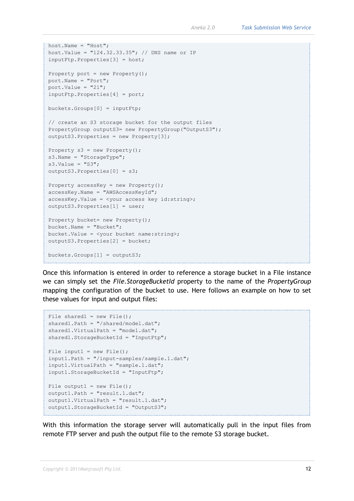```
host.Name = "Host";
host.Value = "124.32.33.35"; // DNS name or IP
inputFtp.Properties[3] = host;
Property port = new Property();
port.Name = "Port";
port.Value = "21";
inputFtp.Properties[4] = port;
buckets.Groups[0] = inputFtp;
// create an S3 storage bucket for the output files
PropertyGroup outputS3= new PropertyGroup("OutputS3");
outputS3.Properties = new Property[3];
Property s3 = new Property();
s3. Name = "StorageType";
s3.Vallow = "S3";outputS3.Properties[0] = s3;
Property accessKey = new Property();
accessKey.Name = "AWSAccessKeyId";
accessKey.Value = <your access key id:string>;
outputS3.Properties[1] = user;
Property bucket= new Property();
bucket.Name = "Bucket";
bucket.Value = <your bucket name:string>;
outputS3.Properties[2] = bucket;
buckets.Groups[1] = outputS3;
```
Once this information is entered in order to reference a storage bucket in a File instance we can simply set the *File.StorageBucketId* property to the name of the *PropertyGroup* mapping the configuration of the bucket to use. Here follows an example on how to set these values for input and output files:

```
File shared1 = new File();
shared1.Path = "/shared/model.dat";
shared1.VirtualPath = "model.dat";
shared1.StorageBucketId = "InputFtp";
File input1 = new File();
input1.Path = "/input-samples/sample.1.dat";
input1.VirtualPath = "sample.1.dat";
input1.StorageBucketId = "InputFtp";
File output1 = new File();
output1.Path = "result.1.dat";
output1.VirtualPath = "result.1.dat";
output1.StorageBucketId = "OutputS3";
```
With this information the storage server will automatically pull in the input files from remote FTP server and push the output file to the remote S3 storage bucket.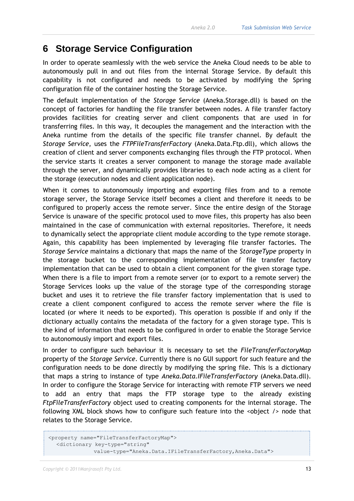#### <span id="page-14-0"></span>**6 Storage Service Configuration**

In order to operate seamlessly with the web service the Aneka Cloud needs to be able to autonomously pull in and out files from the internal Storage Service. By default this capability is not configured and needs to be activated by modifying the Spring configuration file of the container hosting the Storage Service.

The default implementation of the *Storage Service* (Aneka.Storage.dll) is based on the concept of factories for handling the file transfer between nodes. A file transfer factory provides facilities for creating server and client components that are used in for transferring files. In this way, it decouples the management and the interaction with the Aneka runtime from the details of the specific file transfer channel. By default the *Storage Service*, uses the *FTPFileTransferFactory* (Aneka.Data.Ftp.dll), which allows the creation of client and server components exchanging files through the FTP protocol. When the service starts it creates a server component to manage the storage made available through the server, and dynamically provides libraries to each node acting as a client for the storage (execution nodes and client application node).

When it comes to autonomously importing and exporting files from and to a remote storage server, the Storage Service itself becomes a client and therefore it needs to be configured to properly access the remote server. Since the entire design of the Storage Service is unaware of the specific protocol used to move files, this property has also been maintained in the case of communication with external repositories. Therefore, it needs to dynamically select the appropriate client module according to the type remote storage. Again, this capability has been implemented by leveraging file transfer factories. The *Storage Service* maintains a dictionary that maps the name of the *StorageType* property in the storage bucket to the corresponding implementation of file transfer factory implementation that can be used to obtain a client component for the given storage type. When there is a file to import from a remote server (or to export to a remote server) the Storage Services looks up the value of the storage type of the corresponding storage bucket and uses it to retrieve the file transfer factory implementation that is used to create a client component configured to access the remote server where the file is located (or where it needs to be exported). This operation is possible if and only if the dictionary actually contains the metadata of the factory for a given storage type. This is the kind of information that needs to be configured in order to enable the Storage Service to autonomously import and export files.

In order to configure such behaviour it is necessary to set the *FileTransferFactoryMap* property of the *Storage Service*. Currently there is no GUI support for such feature and the configuration needs to be done directly by modifying the spring file. This is a dictionary that maps a string to instance of type *Aneka.Data.IFileTransferFactory* (Aneka.Data.dll). In order to configure the Storage Service for interacting with remote FTP servers we need to add an entry that maps the FTP storage type to the already existing *FtpFileTransferFactory* object used to creating components for the internal storage. The following XML block shows how to configure such feature into the <object /> node that relates to the Storage Service.

```
<property name="FileTransferFactoryMap">
   <dictionary key-type="string" 
               value-type="Aneka.Data.IFileTransferFactory,Aneka.Data">
```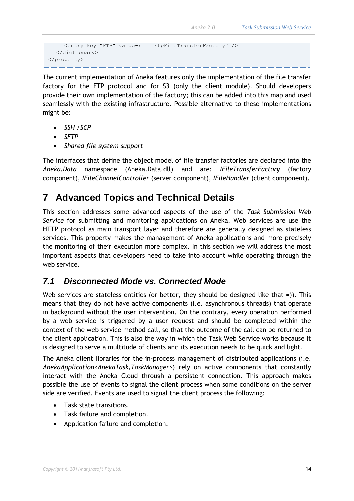```
 <entry key="FTP" value-ref="FtpFileTransferFactory" />
   </dictionary>
</property>
```
The current implementation of Aneka features only the implementation of the file transfer factory for the FTP protocol and for S3 (only the client module). Should developers provide their own implementation of the factory; this can be added into this map and used seamlessly with the existing infrastructure. Possible alternative to these implementations might be:

- *SSH /SCP*
- *SFTP*
- *Shared file system support*

The interfaces that define the object model of file transfer factories are declared into the *Aneka.Data* namespace (Aneka.Data.dll) and are: *IFileTransferFactory* (factory component), *IFileChannelController* (server component), *IFileHandler* (client component).

### <span id="page-15-0"></span>**7 Advanced Topics and Technical Details**

This section addresses some advanced aspects of the use of the *Task Submission Web Service* for submitting and monitoring applications on Aneka. Web services are use the HTTP protocol as main transport layer and therefore are generally designed as stateless services. This property makes the management of Aneka applications and more precisely the monitoring of their execution more complex. In this section we will address the most important aspects that developers need to take into account while operating through the web service.

#### <span id="page-15-1"></span>*7.1 Disconnected Mode vs. Connected Mode*

Web services are stateless entities (or better, they should be designed like that =)). This means that they do not have active components (i.e. asynchronous threads) that operate in background without the user intervention. On the contrary, every operation performed by a web service is triggered by a user request and should be completed within the context of the web service method call, so that the outcome of the call can be returned to the client application. This is also the way in which the Task Web Service works because it is designed to serve a multitude of clients and its execution needs to be quick and light.

The Aneka client libraries for the in-process management of distributed applications (i.e. *AnekaApplication<AnekaTask,TaskManager>*) rely on active components that constantly interact with the Aneka Cloud through a persistent connection. This approach makes possible the use of events to signal the client process when some conditions on the server side are verified. Events are used to signal the client process the following:

- Task state transitions.
- Task failure and completion.
- Application failure and completion.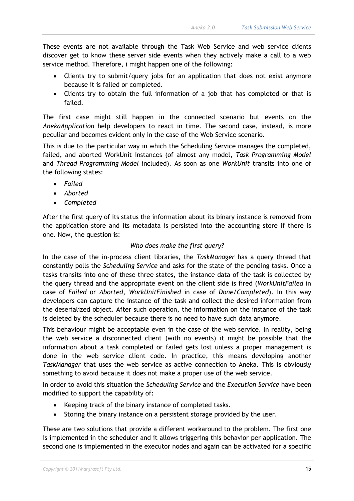These events are not available through the Task Web Service and web service clients discover get to know these server side events when they actively make a call to a web service method. Therefore, i might happen one of the following:

- Clients try to submit/query jobs for an application that does not exist anymore because it is failed or completed.
- Clients try to obtain the full information of a job that has completed or that is failed.

The first case might still happen in the connected scenario but events on the *AnekaApplication* help developers to react in time. The second case, instead, is more peculiar and becomes evident only in the case of the Web Service scenario.

This is due to the particular way in which the Scheduling Service manages the completed, failed, and aborted WorkUnit instances (of almost any model, *Task Programming Model* and *Thread Programming Model* included). As soon as one *WorkUnit* transits into one of the following states:

- *Failed*
- *Aborted*
- *Completed*

After the first query of its status the information about its binary instance is removed from the application store and its metadata is persisted into the accounting store if there is one. Now, the question is:

#### *Who does make the first query?*

In the case of the in-process client libraries, the *TaskManager* has a query thread that constantly polls the *Scheduling Service* and asks for the state of the pending tasks. Once a tasks transits into one of these three states, the instance data of the task is collected by the query thread and the appropriate event on the client side is fired (*WorkUnitFailed* in case of *Failed* or *Aborted*, *WorkUnitFinished* in case of *Done/Completed*). In this way developers can capture the instance of the task and collect the desired information from the deserialized object. After such operation, the information on the instance of the task is deleted by the scheduler because there is no need to have such data anymore.

This behaviour might be acceptable even in the case of the web service. In reality, being the web service a disconnected client (with no events) it might be possible that the information about a task completed or failed gets lost unless a proper management is done in the web service client code. In practice, this means developing another *TaskManager* that uses the web service as active connection to Aneka. This is obviously something to avoid because it does not make a proper use of the web service.

In order to avoid this situation the *Scheduling Service* and the *Execution Service* have been modified to support the capability of:

- Keeping track of the binary instance of completed tasks.
- Storing the binary instance on a persistent storage provided by the user.

These are two solutions that provide a different workaround to the problem. The first one is implemented in the scheduler and it allows triggering this behavior per application. The second one is implemented in the executor nodes and again can be activated for a specific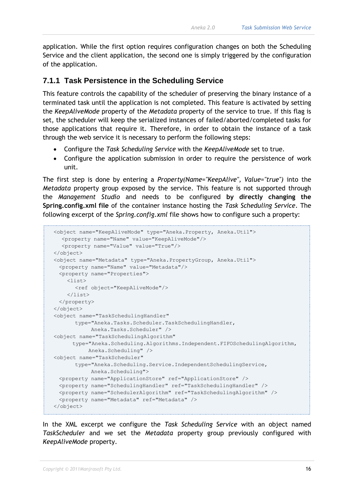application. While the first option requires configuration changes on both the Scheduling Service and the client application, the second one is simply triggered by the configuration of the application.

#### <span id="page-17-0"></span>**7.1.1 Task Persistence in the Scheduling Service**

This feature controls the capability of the scheduler of preserving the binary instance of a terminated task until the application is not completed. This feature is activated by setting the *KeepAliveMode* property of the *Metadata* property of the service to true. If this flag is set, the scheduler will keep the serialized instances of failed/aborted/completed tasks for those applications that require it. Therefore, in order to obtain the instance of a task through the web service it is necessary to perform the following steps:

- Configure the *Task Scheduling Service* with the *KeepAliveMode* set to true.
- Configure the application submission in order to require the persistence of work unit.

The first step is done by entering a *Property(Name="KeepAlive", Value="true")* into the *Metadata* property group exposed by the service. This feature is not supported through the *Management Studio* and needs to be configured **by directly changing the Spring.config.xml file** of the container instance hosting the *Task Scheduling Service*. The following excerpt of the *Spring.config.xml* file shows how to configure such a property:

```
 <object name="KeepAliveMode" type="Aneka.Property, Aneka.Util">
   <property name="Name" value="KeepAliveMode"/>
   <property name="Value" value="True"/>
 </object>
 <object name="Metadata" type="Aneka.PropertyGroup, Aneka.Util">
  <property name="Name" value="Metadata"/>
  <property name="Properties">
     <list>
       <ref object="KeepAliveMode"/>
     </list>
  </property>
 </object>
 <object name="TaskSchedulingHandler"
       type="Aneka.Tasks.Scheduler.TaskSchedulingHandler, 
             Aneka.Tasks.Scheduler" />
 <object name="TaskSchedulingAlgorithm" 
       type="Aneka.Scheduling.Algorithms.Independent.FIFOSchedulingAlgorithm, 
           Aneka.Scheduling" />
 <object name="TaskScheduler"
       type="Aneka.Scheduling.Service.IndependentSchedulingService, 
            Aneka.Scheduling">
  <property name="ApplicationStore" ref="ApplicationStore" />
  <property name="SchedulingHandler" ref="TaskSchedulingHandler" />
  <property name="SchedulerAlgorithm" ref="TaskSchedulingAlgorithm" />
  <property name="Metadata" ref="Metadata" /> 
 </object>
```
In the XML excerpt we configure the *Task Scheduling Service* with an object named *TaskScheduler* and we set the *Metadata* property group previously configured with *KeepAliveMode* property.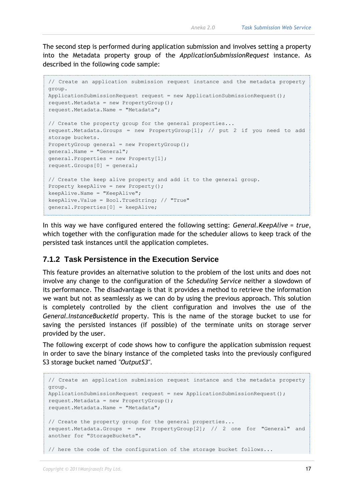The second step is performed during application submission and involves setting a property into the Metadata property group of the *ApplicationSubmissionRequest* instance. As described in the following code sample:

```
// Create an application submission request instance and the metadata property 
group.
ApplicationSubmissionRequest request = new ApplicationSubmissionRequest();
request.Metadata = new PropertyGroup();
request.Metadata.Name = "Metadata";
// Create the property group for the general properties...
request.Metadata.Groups = new PropertyGroup[1]; // put 2 if you need to add 
storage buckets.
PropertyGroup general = new PropertyGroup();
general.Name = "General";
general.Properties = new Property[1];
request.Groups[0] = general;
// Create the keep alive property and add it to the general group.
Property keepAlive = new Property();
keepAlive.Name = "KeepAlive";
keepAlive.Value = Bool.TrueString; // "True"
general.Properties[0] = keepAlive;
```
In this way we have configured entered the following setting: *General.KeepAlive = true*, which together with the configuration made for the scheduler allows to keep track of the persisted task instances until the application completes.

#### <span id="page-18-0"></span>**7.1.2 Task Persistence in the Execution Service**

This feature provides an alternative solution to the problem of the lost units and does not involve any change to the configuration of the *Scheduling Service* neither a slowdown of its performance. The disadvantage is that it provides a method to retrieve the information we want but not as seamlessly as we can do by using the previous approach. This solution is completely controlled by the client configuration and involves the use of the *General.InstanceBucketId* property. This is the name of the storage bucket to use for saving the persisted instances (if possible) of the terminate units on storage server provided by the user.

The following excerpt of code shows how to configure the application submission request in order to save the binary instance of the completed tasks into the previously configured S3 storage bucket named *"OutputS3"*.

```
// Create an application submission request instance and the metadata property 
group.
ApplicationSubmissionRequest request = new ApplicationSubmissionRequest();
request.Metadata = new PropertyGroup();
request.Metadata.Name = "Metadata";
// Create the property group for the general properties...
request.Metadata.Groups = new PropertyGroup[2]; // 2 one for "General" and 
another for "StorageBuckets".
// here the code of the configuration of the storage bucket follows...
```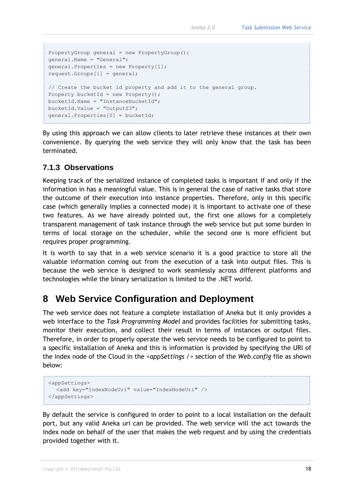```
PropertyGroup general = new PropertyGroup();
general.Name = "General";
general.Properties = new Property[1];
request.Groups[1] = general;
// Create the bucket id property and add it to the general group.
Property bucketId = new Property();
bucketId.Name = "InstanceBucketId";
bucketId.Value = "OutputS3";
general.Properties[0] = bucketId;
```
By using this approach we can allow clients to later retrieve these instances at their own convenience. By querying the web service they will only know that the task has been terminated.

#### <span id="page-19-0"></span>**7.1.3 Observations**

Keeping track of the serialized instance of completed tasks is important if and only if the information in has a meaningful value. This is in general the case of native tasks that store the outcome of their execution into instance properties. Therefore, only in this specific case (which generally implies a connected mode) it is important to activate one of these two features. As we have already pointed out, the first one allows for a completely transparent management of task instance through the web service but put some burden in terms of local storage on the scheduler, while the second one is more efficient but requires proper programming.

It is worth to say that in a web service scenario it is a good practice to store all the valuable information coming out from the execution of a task into output files. This is because the web service is designed to work seamlessly across different platforms and technologies while the binary serialization is limited to the .NET world.

#### <span id="page-19-1"></span>**8 Web Service Configuration and Deployment**

The web service does not feature a complete installation of Aneka but it only provides a web interface to the *Task Programming Model* and provides facilities for submitting tasks, monitor their execution, and collect their result in terms of instances or output files. Therefore, in order to properly operate the web service needs to be configured to point to a specific installation of Aneka and this is information is provided by specifying the URI of the index node of the Cloud in the *<appSettings />* section of the *Web.config* file as shown below:

```
<appSettings>
   <add key="IndexNodeUri" value="IndexNodeUri" />
</appSettings>
```
By default the service is configured in order to point to a local installation on the default port, but any valid Aneka uri can be provided. The web service will the act towards the index node on behalf of the user that makes the web request and by using the credentials provided together with it.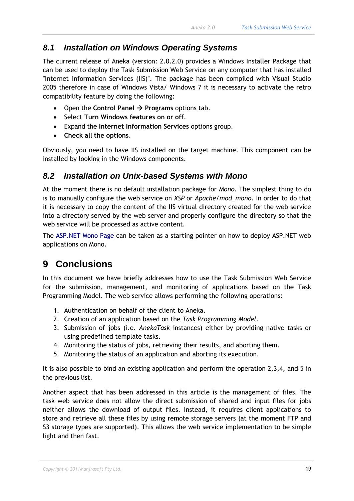#### <span id="page-20-0"></span>*8.1 Installation on Windows Operating Systems*

The current release of Aneka (version: 2.0.2.0) provides a Windows Installer Package that can be used to deploy the Task Submission Web Service on any computer that has installed "Internet Information Services (IIS)". The package has been compiled with Visual Studio 2005 therefore in case of Windows Vista/ Windows 7 it is necessary to activate the retro compatibility feature by doing the following:

- Open the **Control Panel**  $\rightarrow$  **Programs** options tab.
- Select **Turn Windows features on or off**.
- Expand the **Internet Information Services** options group.
- **Check all the options**.

Obviously, you need to have IIS installed on the target machine. This component can be installed by looking in the Windows components.

#### <span id="page-20-1"></span>*8.2 Installation on Unix-based Systems with Mono*

At the moment there is no default installation package for *Mono*. The simplest thing to do is to manually configure the web service on *XSP* or *Apache/mod\_mono*. In order to do that it is necessary to copy the content of the IIS virtual directory created for the web service into a directory served by the web server and properly configure the directory so that the web service will be processed as active content.

The [ASP.NET Mono Page](http://www.mono-project.com/ASP.NET) can be taken as a starting pointer on how to deploy ASP.NET web applications on Mono.

## <span id="page-20-2"></span>**9 Conclusions**

In this document we have briefly addresses how to use the Task Submission Web Service for the submission, management, and monitoring of applications based on the Task Programming Model. The web service allows performing the following operations:

- 1. Authentication on behalf of the client to Aneka.
- 2. Creation of an application based on the *Task Programming Model*.
- 3. Submission of jobs (i.e. *AnekaTask* instances) either by providing native tasks or using predefined template tasks.
- 4. Monitoring the status of jobs, retrieving their results, and aborting them.
- 5. Monitoring the status of an application and aborting its execution.

It is also possible to bind an existing application and perform the operation 2,3,4, and 5 in the previous list.

Another aspect that has been addressed in this article is the management of files. The task web service does not allow the direct submission of shared and input files for jobs neither allows the download of output files. Instead, it requires client applications to store and retrieve all these files by using remote storage servers (at the moment FTP and S3 storage types are supported). This allows the web service implementation to be simple light and then fast.